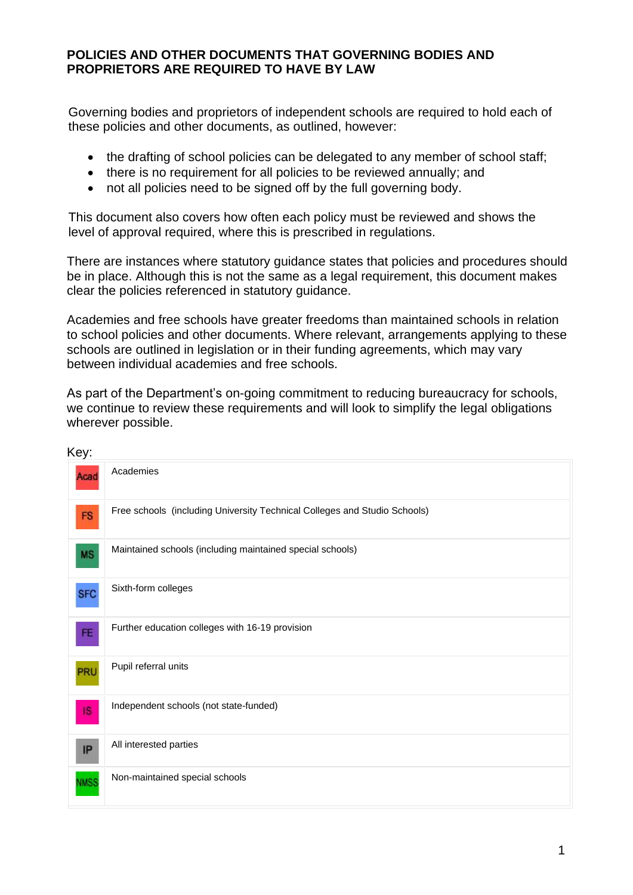## **POLICIES AND OTHER DOCUMENTS THAT GOVERNING BODIES AND PROPRIETORS ARE REQUIRED TO HAVE BY LAW**

Governing bodies and proprietors of independent schools are required to hold each of these policies and other documents, as outlined, however:

- the drafting of school policies can be delegated to any member of school staff;
- there is no requirement for all policies to be reviewed annually; and
- not all policies need to be signed off by the full governing body.

This document also covers how often each policy must be reviewed and shows the level of approval required, where this is prescribed in regulations.

There are instances where statutory guidance states that policies and procedures should be in place. Although this is not the same as a legal requirement, this document makes clear the policies referenced in statutory guidance.

Academies and free schools have greater freedoms than maintained schools in relation to school policies and other documents. Where relevant, arrangements applying to these schools are outlined in legislation or in their funding agreements, which may vary between individual academies and free schools.

As part of the Department's on-going commitment to reducing bureaucracy for schools, we continue to review these requirements and will look to simplify the legal obligations wherever possible.

| Key:             |                                                                           |
|------------------|---------------------------------------------------------------------------|
| Aca <sub>(</sub> | Academies                                                                 |
| <b>FS</b>        | Free schools (including University Technical Colleges and Studio Schools) |
| <b>MS</b>        | Maintained schools (including maintained special schools)                 |
| <b>SFC</b>       | Sixth-form colleges                                                       |
| FE               | Further education colleges with 16-19 provision                           |
| PRL              | Pupil referral units                                                      |
| <b>IS</b>        | Independent schools (not state-funded)                                    |
| IP               | All interested parties                                                    |
| <b>NMSS</b>      | Non-maintained special schools                                            |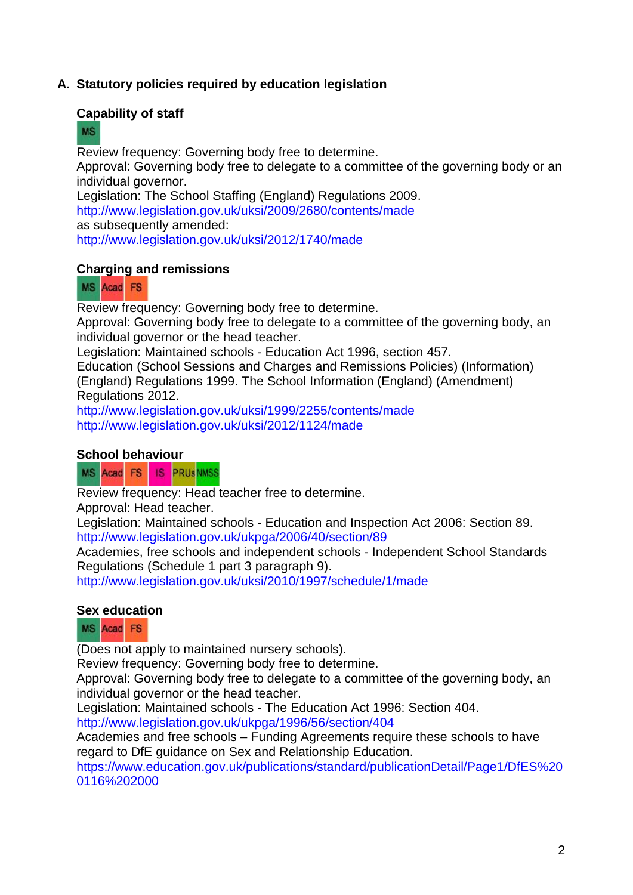## **A. Statutory policies required by education legislation**

#### **Capability of staff**

## **MS**

Review frequency: Governing body free to determine. Approval: Governing body free to delegate to a committee of the governing body or an individual governor. Legislation: The School Staffing (England) Regulations 2009. <http://www.legislation.gov.uk/uksi/2009/2680/contents/made> as subsequently amended:

<http://www.legislation.gov.uk/uksi/2012/1740/made>

#### **Charging and remissions**

#### MS Acad FS

Review frequency: Governing body free to determine.

Approval: Governing body free to delegate to a committee of the governing body, an individual governor or the head teacher.

Legislation: Maintained schools - Education Act 1996, section 457.

Education (School Sessions and Charges and Remissions Policies) (Information) (England) Regulations 1999. The School Information (England) (Amendment) Regulations 2012.

<http://www.legislation.gov.uk/uksi/1999/2255/contents/made> <http://www.legislation.gov.uk/uksi/2012/1124/made>

#### **School behaviour**

MS Acad FS IS PRUSNMSS

Review frequency: Head teacher free to determine.

Approval: Head teacher.

Legislation: Maintained schools - Education and Inspection Act 2006: Section 89. <http://www.legislation.gov.uk/ukpga/2006/40/section/89>

Academies, free schools and independent schools - Independent School Standards Regulations (Schedule 1 part 3 paragraph 9).

<http://www.legislation.gov.uk/uksi/2010/1997/schedule/1/made>

#### **Sex education**

## MS Acad FS

(Does not apply to maintained nursery schools).

Review frequency: Governing body free to determine.

Approval: Governing body free to delegate to a committee of the governing body, an individual governor or the head teacher.

Legislation: Maintained schools - The Education Act 1996: Section 404.

<http://www.legislation.gov.uk/ukpga/1996/56/section/404>

Academies and free schools – Funding Agreements require these schools to have regard to DfE guidance on Sex and Relationship Education.

[https://www.education.gov.uk/publications/standard/publicationDetail/Page1/DfES%20](https://www.education.gov.uk/publications/standard/publicationDetail/Page1/DfES%200116%202000) [0116%202000](https://www.education.gov.uk/publications/standard/publicationDetail/Page1/DfES%200116%202000)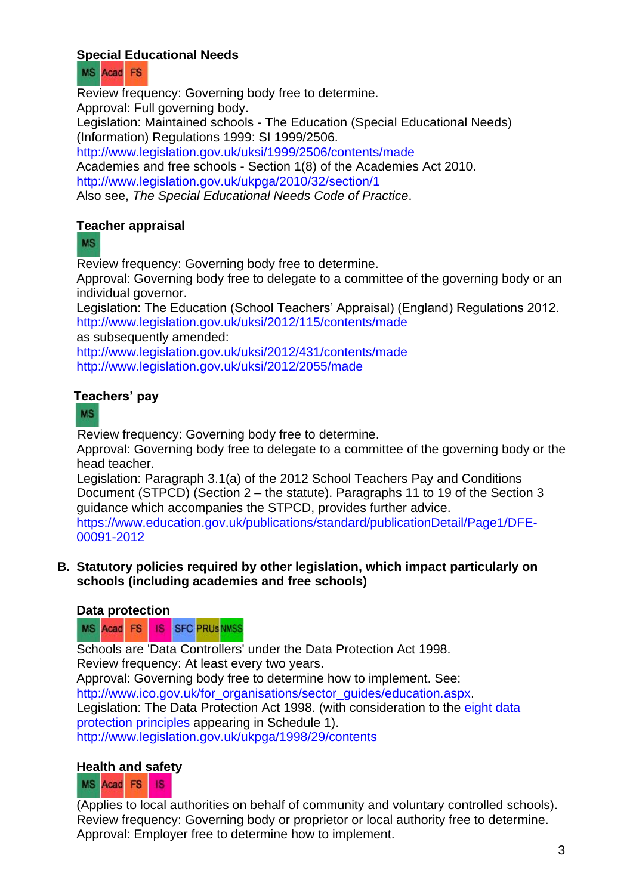# **Special Educational Needs**



Review frequency: Governing body free to determine. Approval: Full governing body. Legislation: Maintained schools - The Education (Special Educational Needs) (Information) Regulations 1999: SI 1999/2506. <http://www.legislation.gov.uk/uksi/1999/2506/contents/made> Academies and free schools - Section 1(8) of the Academies Act 2010. <http://www.legislation.gov.uk/ukpga/2010/32/section/1> Also see, *The Special Educational Needs Code of Practice*.

# **Teacher appraisal**

**MS** 

Review frequency: Governing body free to determine.

Approval: Governing body free to delegate to a committee of the governing body or an individual governor.

Legislation: The Education (School Teachers' Appraisal) (England) Regulations 2012. <http://www.legislation.gov.uk/uksi/2012/115/contents/made>

as subsequently amended:

<http://www.legislation.gov.uk/uksi/2012/431/contents/made> <http://www.legislation.gov.uk/uksi/2012/2055/made>

# **Teachers' pay**

## **MS**

Review frequency: Governing body free to determine.

Approval: Governing body free to delegate to a committee of the governing body or the head teacher.

Legislation: Paragraph 3.1(a) of the 2012 School Teachers Pay and Conditions Document (STPCD) (Section 2 – the statute). Paragraphs 11 to 19 of the Section 3 guidance which accompanies the STPCD, provides further advice.

[https://www.education.gov.uk/publications/standard/publicationDetail/Page1/DFE-](https://www.education.gov.uk/publications/standard/publicationDetail/Page1/DFE-00091-2012)[00091-2012](https://www.education.gov.uk/publications/standard/publicationDetail/Page1/DFE-00091-2012)

**B. Statutory policies required by other legislation, which impact particularly on schools (including academies and free schools)** 

## **Data protection**

**SFC PRUSNMSS** MS Acad FS **IS** 

Schools are 'Data Controllers' under the Data Protection Act 1998. Review frequency: At least every two years.

Approval: Governing body free to determine how to implement. See: [http://www.ico.gov.uk/for\\_organisations/sector\\_guides/education.aspx.](http://www.ico.gov.uk/for_organisations/sector_guides/education.aspx) Legislation: The Data Protection Act 1998. (with consideration to the [eight data](http://www.legislation.gov.uk/ukpga/1998/29/schedule/1)  [protection principles](http://www.legislation.gov.uk/ukpga/1998/29/schedule/1) appearing in [Schedule 1\)](http://www.legislation.gov.uk/ukpga/1998/29/schedule/1). <http://www.legislation.gov.uk/ukpga/1998/29/contents>

## **Health and safety**

#### MS Acad FS **1S**

(Applies to local authorities on behalf of community and voluntary controlled schools). Review frequency: Governing body or proprietor or local authority free to determine. Approval: Employer free to determine how to implement.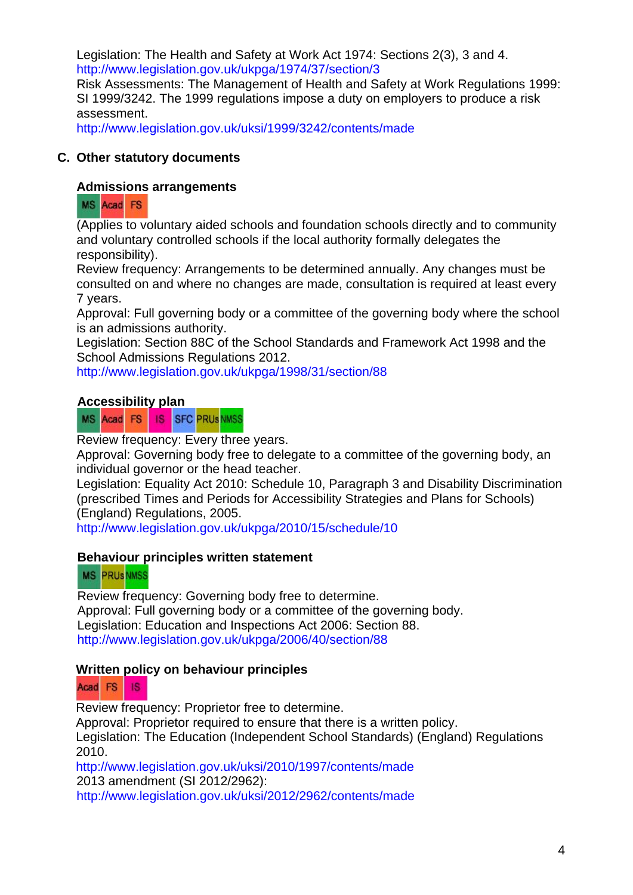Legislation: The Health and Safety at Work Act 1974: Sections 2(3), 3 and 4. <http://www.legislation.gov.uk/ukpga/1974/37/section/3> Risk Assessments: The Management of Health and Safety at Work Regulations 1999: SI 1999/3242. The 1999 regulations impose a duty on employers to produce a risk assessment.

<http://www.legislation.gov.uk/uksi/1999/3242/contents/made>

# **C. Other statutory documents**

# **Admissions arrangements**

# MS Acad FS

(Applies to voluntary aided schools and foundation schools directly and to community and voluntary controlled schools if the local authority formally delegates the responsibility).

Review frequency: Arrangements to be determined annually. Any changes must be consulted on and where no changes are made, consultation is required at least every 7 years.

Approval: Full governing body or a committee of the governing body where the school is an admissions authority.

Legislation: Section 88C of the School Standards and Framework Act 1998 and the [School Admissions Regulations 2012.](http://www.education.gov.uk/schools/adminandfinance/schooladmissions)

<http://www.legislation.gov.uk/ukpga/1998/31/section/88>

# **Accessibility plan**

**SFC PRUSNMSS** MS Acad FS IS

Review frequency: Every three years.

Approval: Governing body free to delegate to a committee of the governing body, an individual governor or the head teacher.

Legislation: Equality Act 2010: Schedule 10, Paragraph 3 and Disability Discrimination (prescribed Times and Periods for Accessibility Strategies and Plans for Schools) (England) Regulations, 2005.

<http://www.legislation.gov.uk/ukpga/2010/15/schedule/10>

# **Behaviour principles written statement**

# **MS PRUSNMSS**

 Review frequency: Governing body free to determine. Approval: Full governing body or a committee of the governing body. Legislation: Education and Inspections Act 2006: Section 88. <http://www.legislation.gov.uk/ukpga/2006/40/section/88>

# **Written policy on behaviour principles**

#### Acad FS 18

Review frequency: Proprietor free to determine.

Approval: Proprietor required to ensure that there is a written policy.

Legislation: The Education (Independent School Standards) (England) Regulations 2010.

<http://www.legislation.gov.uk/uksi/2010/1997/contents/made> 2013 amendment (SI 2012/2962): <http://www.legislation.gov.uk/uksi/2012/2962/contents/made>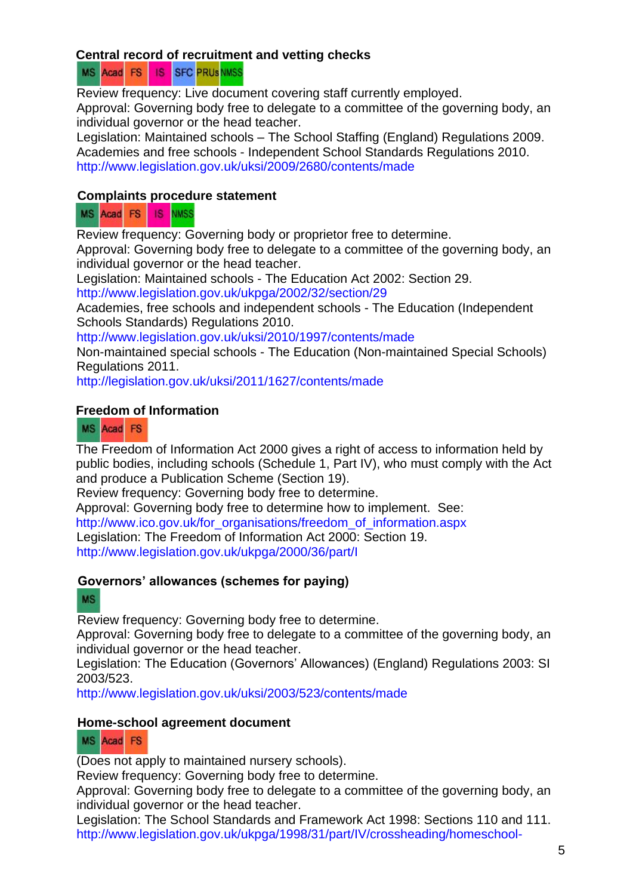## **Central record of recruitment and vetting checks**

**SFC PRUS NMSS** MS Acad FS 18

Review frequency: Live document covering staff currently employed. Approval: Governing body free to delegate to a committee of the governing body, an individual governor or the head teacher.

Legislation: Maintained schools – The School Staffing (England) Regulations 2009. Academies and free schools - Independent School Standards Regulations 2010. <http://www.legislation.gov.uk/uksi/2009/2680/contents/made>

## **Complaints procedure statement**

**IS NMSS** MS Acad FS

Review frequency: Governing body or proprietor free to determine.

Approval: Governing body free to delegate to a committee of the governing body, an individual governor or the head teacher.

Legislation: Maintained schools - The Education Act 2002: Section 29.

<http://www.legislation.gov.uk/ukpga/2002/32/section/29>

Academies, free schools and independent schools - The Education (Independent Schools Standards) Regulations 2010.

<http://www.legislation.gov.uk/uksi/2010/1997/contents/made>

Non-maintained special schools - The Education (Non-maintained Special Schools) Regulations 2011.

<http://legislation.gov.uk/uksi/2011/1627/contents/made>

## **Freedom of Information**

MS Acad FS

The Freedom of Information Act 2000 gives a right of access to information held by public bodies, including schools [\(Schedule 1, Part IV\)](http://www.legislation.gov.uk/ukpga/2000/36/schedule/1), who must comply with the Act and produce a Publication Scheme [\(Section 19\)](http://www.legislation.gov.uk/ukpga/2000/36/section/19).

Review frequency: Governing body free to determine.

Approval: Governing body free to determine how to implement. See: [http://www.ico.gov.uk/for\\_organisations/freedom\\_of\\_information.aspx](http://www.ico.gov.uk/for_organisations/freedom_of_information.aspx) Legislation: The Freedom of Information Act 2000: Section 19. <http://www.legislation.gov.uk/ukpga/2000/36/part/I>

# **Governors' allowances (schemes for paying)**

## **MS**

Review frequency: Governing body free to determine.

Approval: Governing body free to delegate to a committee of the governing body, an individual governor or the head teacher.

Legislation: The Education (Governors' Allowances) (England) Regulations 2003: SI 2003/523.

<http://www.legislation.gov.uk/uksi/2003/523/contents/made>

## **Home-school agreement document**

# MS Acad FS

(Does not apply to maintained nursery schools).

Review frequency: Governing body free to determine.

Approval: Governing body free to delegate to a committee of the governing body, an individual governor or the head teacher.

Legislation: The School Standards and Framework Act 1998: Sections 110 and 111. [http://www.legislation.gov.uk/ukpga/1998/31/part/IV/crossheading/homeschool-](http://www.legislation.gov.uk/ukpga/1998/31/part/IV/crossheading/homeschool-agreements)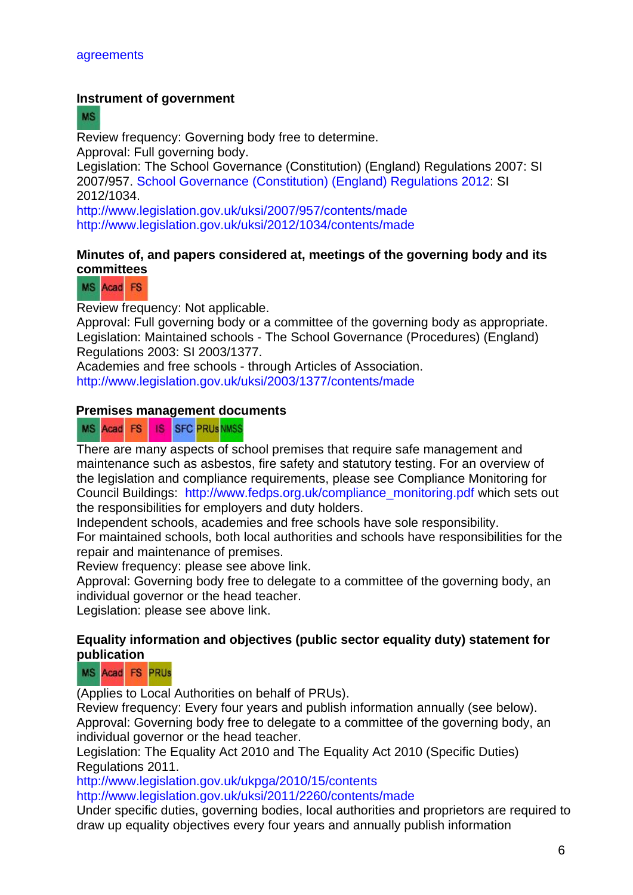#### **Instrument of government**

**MS** 

Review frequency: Governing body free to determine. Approval: Full governing body.

Legislation: The School Governance (Constitution) (England) Regulations 2007: SI 2007/957. [School Governance \(Constitution\) \(England\) Regulations 2012:](http://www.legislation.gov.uk/uksi/2012/1034/contents/made) SI 2012/1034.

<http://www.legislation.gov.uk/uksi/2007/957/contents/made> <http://www.legislation.gov.uk/uksi/2012/1034/contents/made>

#### **Minutes of, and papers considered at, meetings of the governing body and its committees**

MS Acad FS

Review frequency: Not applicable.

Approval: Full governing body or a committee of the governing body as appropriate. Legislation: Maintained schools - The School Governance (Procedures) (England) Regulations 2003: SI 2003/1377.

Academies and free schools - through Articles of Association. <http://www.legislation.gov.uk/uksi/2003/1377/contents/made>

#### **Premises management documents**

MS Acad FS IS **SFC PRUSNMSS** 

There are many aspects of school premises that require safe management and maintenance such as asbestos, fire safety and statutory testing. For an overview of the legislation and compliance requirements, please see Compliance Monitoring for Council Buildings: [http://www.fedps.org.uk/compliance\\_monitoring.pdf](http://www.fedps.org.uk/compliance_monitoring.pdf) which sets out the responsibilities for employers and duty holders.

Independent schools, academies and free schools have sole responsibility.

For maintained schools, both local authorities and schools have responsibilities for the repair and maintenance of premises.

Review frequency: please see above link.

Approval: Governing body free to delegate to a committee of the governing body, an individual governor or the head teacher.

Legislation: please see above link.

#### **Equality information and objectives (public sector equality duty) statement for publication**

#### MS Acad FS PRUs

(Applies to Local Authorities on behalf of PRUs).

Review frequency: Every four years and publish information annually (see below). Approval: Governing body free to delegate to a committee of the governing body, an individual governor or the head teacher.

Legislation: The Equality Act 2010 and The Equality Act 2010 (Specific Duties) Regulations 2011.

<http://www.legislation.gov.uk/ukpga/2010/15/contents> <http://www.legislation.gov.uk/uksi/2011/2260/contents/made>

Under specific duties, governing bodies, local authorities and proprietors are required to draw up equality objectives every four years and annually publish information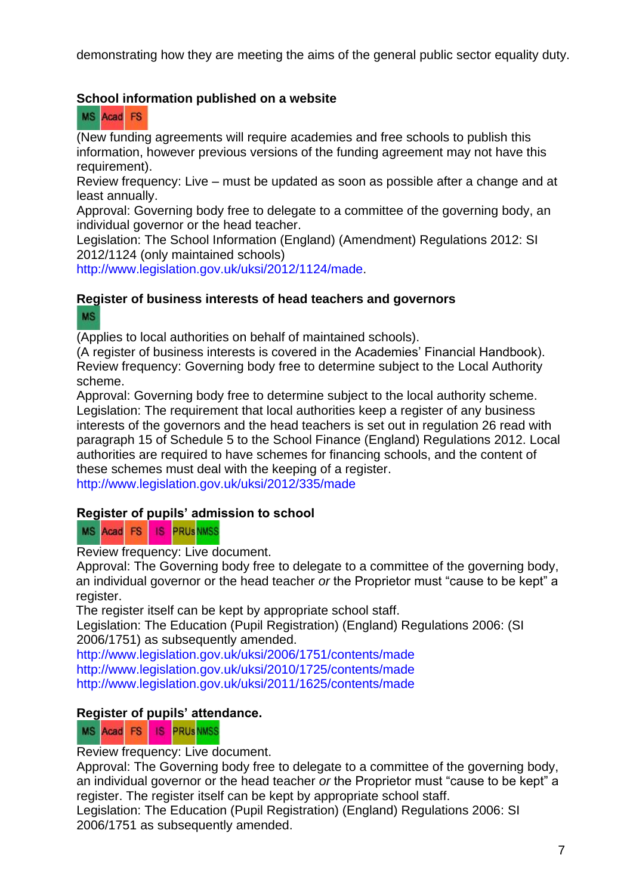demonstrating how they are meeting the aims of the general public sector equality duty.

# **School information published on a website**

MS Acad FS

(New funding agreements will require academies and free schools to publish this information, however previous versions of the funding agreement may not have this requirement).

Review frequency: Live – must be updated as soon as possible after a change and at least annually.

Approval: Governing body free to delegate to a committee of the governing body, an individual governor or the head teacher.

Legislation: The School Information (England) (Amendment) Regulations 2012: SI 2012/1124 (only maintained schools)

[http://www.legislation.gov.uk/uksi/2012/1124/made.](http://www.legislation.gov.uk/uksi/2012/1124/made)

#### **Register of business interests of head teachers and governors MS**

(Applies to local authorities on behalf of maintained schools).

(A register of business interests is covered in the Academies' Financial Handbook). Review frequency: Governing body free to determine subject to the Local Authority scheme.

Approval: Governing body free to determine subject to the local authority scheme. Legislation: The requirement that local authorities keep a register of any business interests of the governors and the head teachers is set out in regulation 26 read with paragraph 15 of Schedule 5 to the School Finance (England) Regulations 2012. Local authorities are required to have schemes for financing schools, and the content of these schemes must deal with the keeping of a register.

<http://www.legislation.gov.uk/uksi/2012/335/made>

## **Register of pupils' admission to school**

MS Acad FS 18 **PRUS NMSS** 

Review frequency: Live document.

Approval: The Governing body free to delegate to a committee of the governing body, an individual governor or the head teacher *or* the Proprietor must "cause to be kept" a register.

The register itself can be kept by appropriate school staff.

Legislation: The Education (Pupil Registration) (England) Regulations 2006: (SI 2006/1751) as subsequently amended.

<http://www.legislation.gov.uk/uksi/2006/1751/contents/made> <http://www.legislation.gov.uk/uksi/2010/1725/contents/made> <http://www.legislation.gov.uk/uksi/2011/1625/contents/made>

## **Register of pupils' attendance.**

MS Acad FS IS PRUSNMSS

Review frequency: Live document.

Approval: The Governing body free to delegate to a committee of the governing body, an individual governor or the head teacher *or* the Proprietor must "cause to be kept" a register. The register itself can be kept by appropriate school staff.

Legislation: The Education (Pupil Registration) (England) Regulations 2006: SI 2006/1751 as subsequently amended.